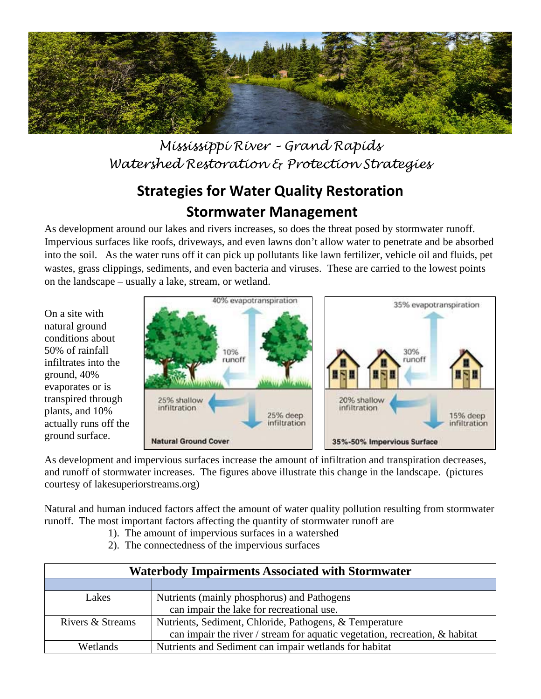

*Mississippi River – Grand Rapids Watershed Restoration & Protection Strategies*

## **Strategies for Water Quality Restoration Stormwater Management**

As development around our lakes and rivers increases, so does the threat posed by stormwater runoff. Impervious surfaces like roofs, driveways, and even lawns don't allow water to penetrate and be absorbed into the soil. As the water runs off it can pick up pollutants like lawn fertilizer, vehicle oil and fluids, pet wastes, grass clippings, sediments, and even bacteria and viruses. These are carried to the lowest points on the landscape – usually a lake, stream, or wetland.

On a site with natural ground conditions about 50% of rainfall infiltrates into the ground, 40% evaporates or is transpired through plants, and 10% actually runs off the ground surface.



As development and impervious surfaces increase the amount of infiltration and transpiration decreases, and runoff of stormwater increases. The figures above illustrate this change in the landscape. (pictures courtesy of lakesuperiorstreams.org)

Natural and human induced factors affect the amount of water quality pollution resulting from stormwater runoff. The most important factors affecting the quantity of stormwater runoff are

- 1). The amount of impervious surfaces in a watershed
- 2). The connectedness of the impervious surfaces

| <b>Waterbody Impairments Associated with Stormwater</b> |                                                                                |
|---------------------------------------------------------|--------------------------------------------------------------------------------|
|                                                         |                                                                                |
| Lakes                                                   | Nutrients (mainly phosphorus) and Pathogens                                    |
|                                                         | can impair the lake for recreational use.                                      |
| Rivers & Streams                                        | Nutrients, Sediment, Chloride, Pathogens, & Temperature                        |
|                                                         | can impair the river / stream for aquatic vegetation, recreation, $\&$ habitat |
| <b>Wetlands</b>                                         | Nutrients and Sediment can impair wetlands for habitat                         |